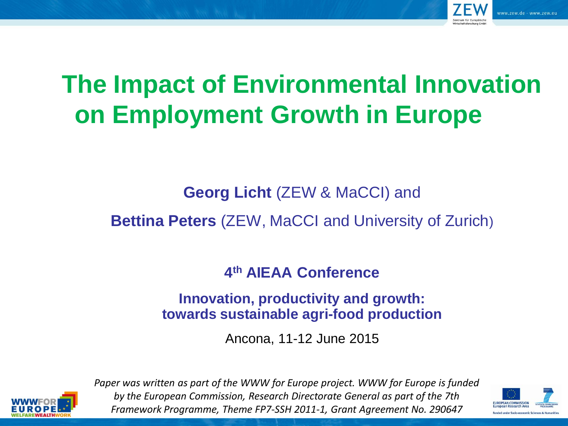

# **The Impact of Environmental Innovation on Employment Growth in Europe**

**Georg Licht** (ZEW & MaCCI) and

**Bettina Peters** (ZEW, MaCCI and University of Zurich)

**4 th AIEAA Conference**

**Innovation, productivity and growth: towards sustainable agri-food production**

Ancona, 11-12 June 2015



*Paper was written as part of the WWW for Europe project. WWW for Europe is funded by the European Commission, Research Directorate General as part of the 7th Framework Programme, Theme FP7-SSH 2011-1, Grant Agreement No. 290647*

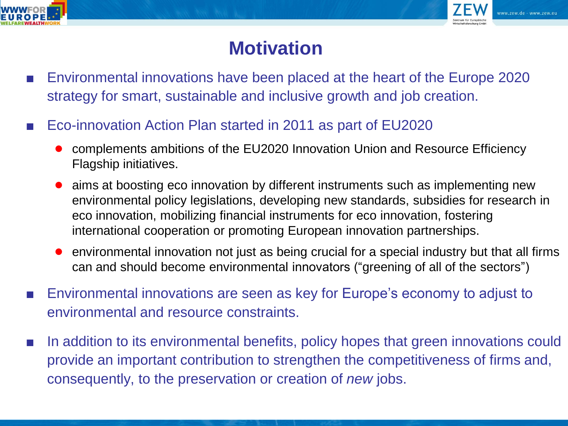



### **Motivation**

- Environmental innovations have been placed at the heart of the Europe 2020 strategy for smart, sustainable and inclusive growth and job creation.
- Eco-innovation Action Plan started in 2011 as part of EU2020
	- complements ambitions of the EU2020 Innovation Union and Resource Efficiency Flagship initiatives.
	- aims at boosting eco innovation by different instruments such as implementing new environmental policy legislations, developing new standards, subsidies for research in eco innovation, mobilizing financial instruments for eco innovation, fostering international cooperation or promoting European innovation partnerships.
	- environmental innovation not just as being crucial for a special industry but that all firms can and should become environmental innovators ("greening of all of the sectors")
- Environmental innovations are seen as key for Europe's economy to adjust to environmental and resource constraints.
- In addition to its environmental benefits, policy hopes that green innovations could provide an important contribution to strengthen the competitiveness of firms and, consequently, to the preservation or creation of *new* jobs.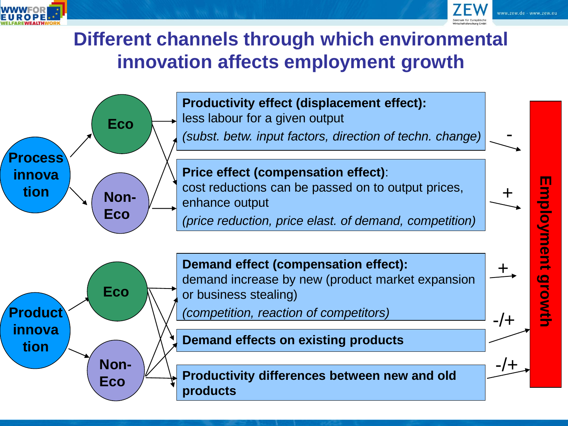



#### **Different channels through which environmental innovation affects employment growth**

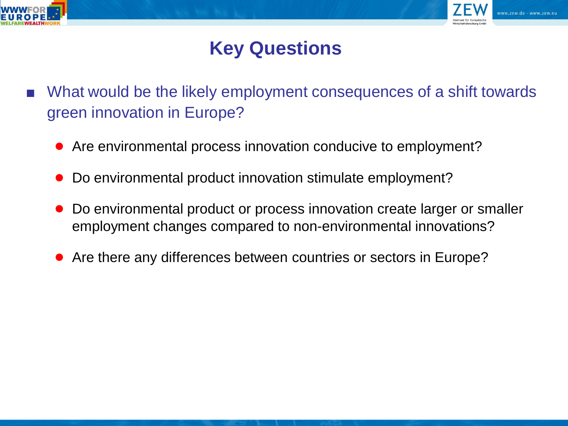



### **Key Questions**

- What would be the likely employment consequences of a shift towards green innovation in Europe?
	- Are environmental process innovation conducive to employment?
	- Do environmental product innovation stimulate employment?
	- Do environmental product or process innovation create larger or smaller employment changes compared to non-environmental innovations?
	- Are there any differences between countries or sectors in Europe?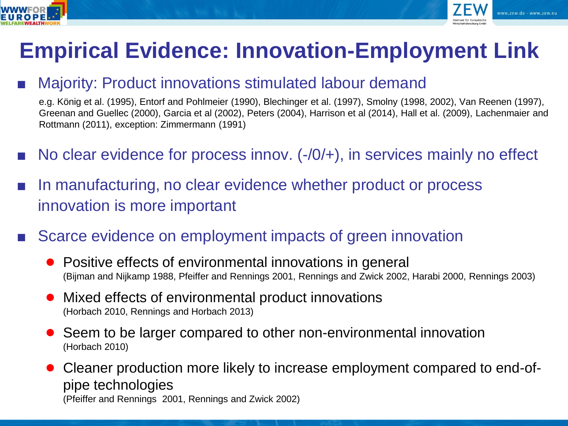



# **Empirical Evidence: Innovation-Employment Link**

#### Majority: Product innovations stimulated labour demand

e.g. König et al. (1995), Entorf and Pohlmeier (1990), Blechinger et al. (1997), Smolny (1998, 2002), Van Reenen (1997), Greenan and Guellec (2000), Garcia et al (2002), Peters (2004), Harrison et al (2014), Hall et al. (2009), Lachenmaier and Rottmann (2011), exception: Zimmermann (1991)

- No clear evidence for process innov.  $(-/0/+)$ , in services mainly no effect
- In manufacturing, no clear evidence whether product or process innovation is more important
- Scarce evidence on employment impacts of green innovation
	- Positive effects of environmental innovations in general (Bijman and Nijkamp 1988, Pfeiffer and Rennings 2001, Rennings and Zwick 2002, Harabi 2000, Rennings 2003)
	- Mixed effects of environmental product innovations (Horbach 2010, Rennings and Horbach 2013)
	- Seem to be larger compared to other non-environmental innovation (Horbach 2010)
	- Cleaner production more likely to increase employment compared to end-ofpipe technologies (Pfeiffer and Rennings 2001, Rennings and Zwick 2002)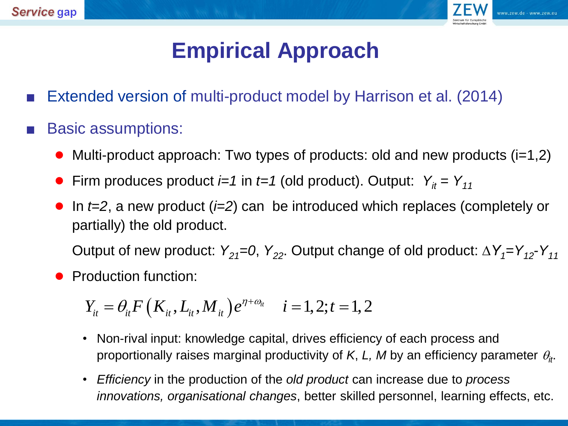

# **Empirical Approach**

- Extended version of multi-product model by Harrison et al. (2014)
- **Basic assumptions:** 
	- Multi-product approach: Two types of products: old and new products  $(i=1,2)$
	- Firm produces product *i=1* in *t=1* (old product). Output:  $Y_i = Y_{11}$
	- In *t*=2, a new product (*i*=2) can be introduced which replaces (completely or partially) the old product.

Output of new product:  $Y_{21} = 0$ ,  $Y_{22}$ . Output change of old product:  $\Delta Y_{1} = Y_{12} - Y_{11}$ 

● Production function:

roduction function:

\n
$$
Y_{it} = \theta_{it} F\left(K_{it}, L_{it}, M_{it}\right) e^{\eta + \omega_{it}} \quad i = 1, 2; t = 1, 2
$$

- Non-rival input: knowledge capital, drives efficiency of each process and proportionally raises marginal productivity of *K*, *L*, *M* by an efficiency parameter  $\theta_{ir}$ . *i*<br> *i* =  $\theta_{ir}F(K_{ir}, L_{ir}, M_{ir})e^{\eta + \omega_{ir}}$  *i* = 1, 2; *t* = 1, 2<br>
Non-rival input: knowledge capital, drives efficiency of each process and<br>
proportionally raises marginal productivity of *K*, *L*, *M* by an efficiency pa
- *Efficiency* in the production of the *old product* can increase due to *process*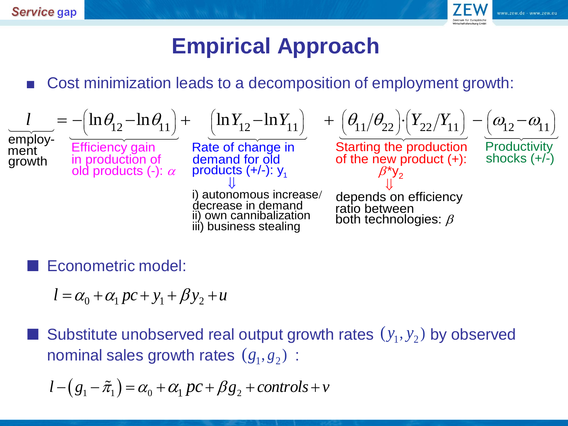

# **Empirical Approach**

■ Cost minimization leads to a decomposition of employment growth:

**Service gap**  
\n**孩 1** Cost minimization leads to a decomposition of employment growth:  
\n
$$
\frac{l}{\text{empty}} = -\left(\ln \theta_{12} - \ln \theta_{11}\right) + \left(\ln Y_{12} - \ln Y_{11}\right) + \left(\theta_{11}/\theta_{22}\right) \left(Y_{22}/Y_{11}\right) - \left(\omega_{12} - \omega_{11}\right)
$$
\n
$$
\frac{l}{\text{efficiency gain}} = -\left(\ln \theta_{12} - \ln \theta_{11}\right) + \left(\ln Y_{12} - \ln Y_{11}\right) + \left(\theta_{11}/\theta_{22}\right) \left(Y_{22}/Y_{11}\right) - \left(\omega_{12} - \omega_{11}\right)
$$
\n
$$
\frac{l}{\text{efficiency gain}} = -\left(\ln \theta_{12} - \ln \theta_{11}\right) + \left(\ln Y_{12} - \ln Y_{11}\right) + \left(\theta_{11}/\theta_{22}\right) \left(Y_{22}/Y_{11}\right) - \left(\omega_{12} - \omega_{11}\right)
$$
\n
$$
\frac{l}{\text{of the new product (+):} \text{shocks (+/-)}
$$
\n
$$
\frac{l}{\text{of the new product (+):} \text{shocks (+/-)}
$$
\n
$$
\frac{l}{\text{of the new product (+):} \text{shocks (+/-)}
$$
\n
$$
\frac{l}{\text{of the new product (+):} \text{shocks (+/-)}
$$
\n
$$
\frac{l}{\text{of the new product (+):} \text{shocks (+/-)}
$$
\n
$$
\frac{l}{\text{of the new product (+):} \text{shocks (+/-)}
$$
\n
$$
\frac{l}{\text{of the new product (+):} \text{shocks (+/-)}
$$
\n
$$
\frac{l}{\text{of the new product (+):} \text{shocks (+/-)}
$$
\n
$$
\frac{l}{\text{of the new product (+):} \text{shocks (+/-)}
$$
\n
$$
\frac{l}{\text{of the new product (+):} \text{shocks (+/-)}
$$

Econometric model:

 $l = \alpha_0 + \alpha_1 pc + y_1 + \beta y_2 + u$ 

■ Substitute unobserved real output growth rates  $(y_1, y_2)$  by observed<br>nominal sales growth rates  $(g_1, g_2)$  :<br> $l - (g_1 - \tilde{\pi}_1) = \alpha_0 + \alpha_1 pc + \beta g_2 + controls + v$ nominal sales growth rates  $(g_1, g_2)$ :

$$
l - (g_1 - \tilde{\pi}_1) = \alpha_0 + \alpha_1 pc + \beta g_2 + controls + v
$$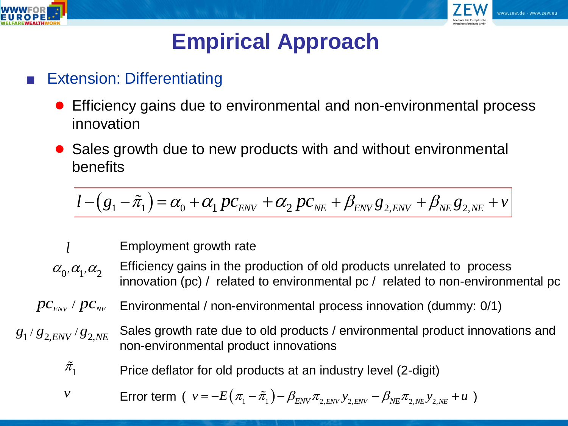



# **Empirical Approach**

#### **Extension: Differentiating**

- Efficiency gains due to environmental and non-environmental process innovation
- Sales growth due to new products with and without environmental benefits benefits<br>benefits<br> $l - (g_1 - \tilde{\pi}_1) = \alpha_0 + \alpha_1 pc_{\text{env}} + \alpha_2 pc_{\text{NE}} + \beta_{\text{ENV}} g_{2,\text{ENV}} + \beta_{\text{NE}} g_{2,\text{NE}} + v$

$$
l - (g_1 - \tilde{\pi}_1) = \alpha_0 + \alpha_1 pc_{\text{env}} + \alpha_2 pc_{\text{NE}} + \beta_{\text{ENV}} g_{2,\text{ENV}} + \beta_{\text{NE}} g_{2,\text{NE}} + v
$$

Employment growth rate

- Efficiency gains in the production of old products unrelated to process innovation (pc) / related to environmental pc / related to non-environmental pc Error term (  $\alpha_0$ ,  $\alpha_1$ ,  $\alpha_2$  **Efficiency gains in the production of old products unrelated to products** innovation (pc) / related to environmental pc / related to non-en<br>  $p c_{\text{EW}} / p c_{\text{NE}}$  **Environmental** / non-e
	- Environmental / non-environmental process innovation (dummy: 0/1)
- 
- Sales growth rate due to old products / environmental product innovations and non-environmental product innovations
- $\pi_{1}$

$$
\begin{aligned}\n\dot{\pi}_1 & \text{Price deflator for old products at an industry level (2-digit)} \\
& \text{Error term } (v = -E(\pi_1 - \tilde{\pi}_1) - \beta_{\text{ENV}} \pi_{2,\text{ENV}} v_{2,\text{ENV}} - \beta_{\text{NE}} \pi_{2,\text{NE}} v_{2,\text{NE}} + u)\n\end{aligned}
$$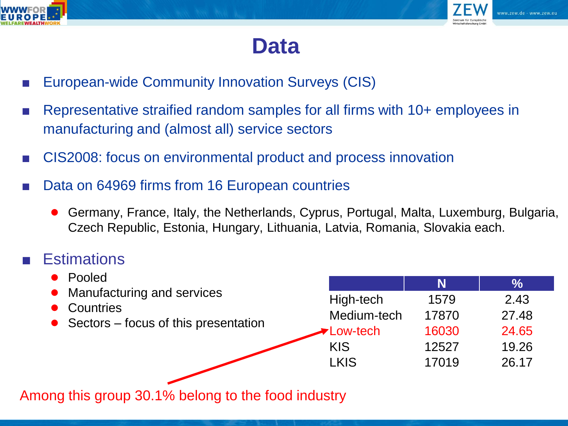



## **Data**

- European-wide Community Innovation Surveys (CIS)
- Representative straified random samples for all firms with 10+ employees in manufacturing and (almost all) service sectors
- CIS2008: focus on environmental product and process innovation
- Data on 64969 firms from 16 European countries
	- Germany, France, Italy, the Netherlands, Cyprus, Portugal, Malta, Luxemburg, Bulgaria, Czech Republic, Estonia, Hungary, Lithuania, Latvia, Romania, Slovakia each.

#### **Estimations**

| Pooled                                                                              |                  | N     | $\frac{0}{0}$ |
|-------------------------------------------------------------------------------------|------------------|-------|---------------|
| Manufacturing and services<br>Countries<br>• Sectors $-$ focus of this presentation | High-tech        | 1579  | 2.43          |
|                                                                                     | Medium-tech      | 17870 | 27.48         |
|                                                                                     | <b>►Low-tech</b> | 16030 | 24.65         |
|                                                                                     | <b>KIS</b>       | 12527 | 19.26         |
|                                                                                     | <b>LKIS</b>      | 17019 | 26.17         |
|                                                                                     |                  |       |               |

Among this group 30.1% belong to the food industry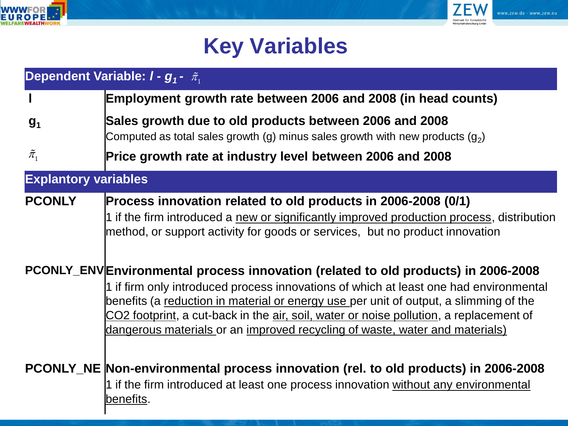



## **Key Variables**

|                             | Dependent Variable: $I - g_1 - \tilde{\pi}_1$                                                                                                                                                                                                                                                                                                                                                                                                |
|-----------------------------|----------------------------------------------------------------------------------------------------------------------------------------------------------------------------------------------------------------------------------------------------------------------------------------------------------------------------------------------------------------------------------------------------------------------------------------------|
|                             | Employment growth rate between 2006 and 2008 (in head counts)                                                                                                                                                                                                                                                                                                                                                                                |
| g <sub>1</sub>              | Sales growth due to old products between 2006 and 2008<br>Computed as total sales growth (g) minus sales growth with new products (g <sub>2</sub> )                                                                                                                                                                                                                                                                                          |
| $\tilde{\pi}_1$             | Price growth rate at industry level between 2006 and 2008                                                                                                                                                                                                                                                                                                                                                                                    |
| <b>Explantory variables</b> |                                                                                                                                                                                                                                                                                                                                                                                                                                              |
| <b>PCONLY</b>               | Process innovation related to old products in 2006-2008 (0/1)<br>1 if the firm introduced a new or significantly improved production process, distribution<br>method, or support activity for goods or services, but no product innovation                                                                                                                                                                                                   |
|                             | PCONLY_ENVEnvironmental process innovation (related to old products) in 2006-2008<br>1 if firm only introduced process innovations of which at least one had environmental<br>benefits (a reduction in material or energy use per unit of output, a slimming of the<br>CO2 footprint, a cut-back in the air, soil, water or noise pollution, a replacement of<br>dangerous materials or an improved recycling of waste, water and materials) |
|                             | PCONLY_NE Non-environmental process innovation (rel. to old products) in 2006-2008<br>1 if the firm introduced at least one process innovation without any environmental<br><u>benefits.</u>                                                                                                                                                                                                                                                 |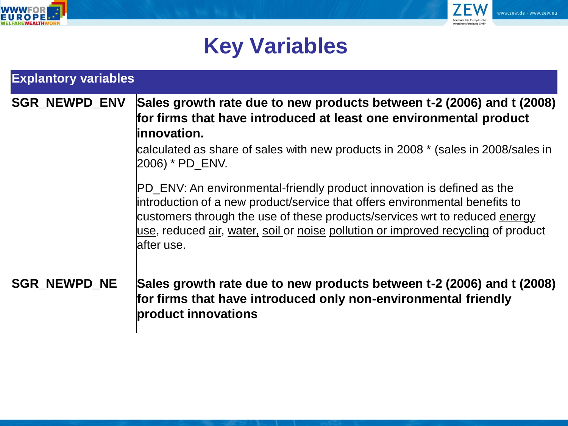



## **Key Variables**

| <b>Explantory variables</b> |                                                                                                                                                                                                                                                                                                                                         |  |  |  |
|-----------------------------|-----------------------------------------------------------------------------------------------------------------------------------------------------------------------------------------------------------------------------------------------------------------------------------------------------------------------------------------|--|--|--|
| <b>SGR NEWPD ENV</b>        | Sales growth rate due to new products between t-2 (2006) and t (2008)<br>for firms that have introduced at least one environmental product<br>linnovation.<br>calculated as share of sales with new products in 2008 * (sales in 2008/sales in<br>2006) * PD_ENV.                                                                       |  |  |  |
|                             | PD_ENV: An environmental-friendly product innovation is defined as the<br>introduction of a new product/service that offers environmental benefits to<br>customers through the use of these products/services wrt to reduced energy<br>use, reduced air, water, soil or noise pollution or improved recycling of product<br>lafter use. |  |  |  |
| <b>SGR NEWPD NE</b>         | Sales growth rate due to new products between t-2 (2006) and t (2008)<br>for firms that have introduced only non-environmental friendly<br>product innovations                                                                                                                                                                          |  |  |  |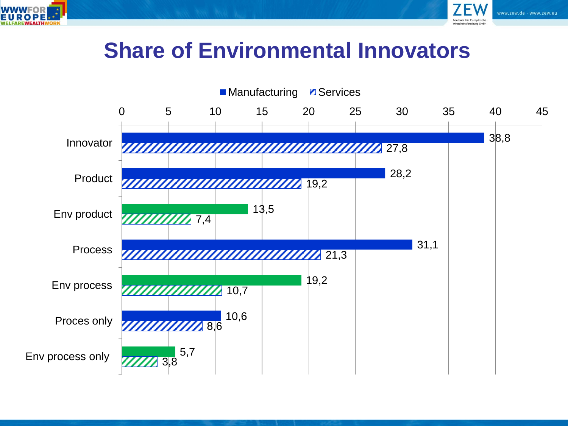



### **Share of Environmental Innovators**

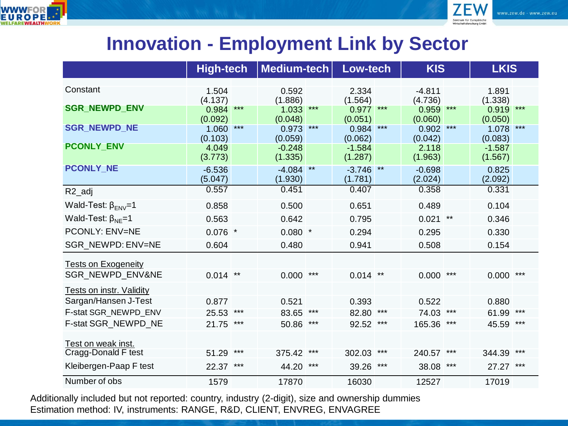



#### **Innovation - Employment Link by Sector**

|                                 | <b>High-tech</b>            |       | Medium-tech                    |       | Low-tech                       |       | <b>KIS</b>                  |       | <b>LKIS</b>                    |       |
|---------------------------------|-----------------------------|-------|--------------------------------|-------|--------------------------------|-------|-----------------------------|-------|--------------------------------|-------|
| Constant                        | 1.504                       |       | 0.592                          |       | 2.334                          |       | $-4.811$                    |       | 1.891                          |       |
| <b>SGR_NEWPD_ENV</b>            | (4.137)<br>0.984            | $***$ | (1.886)<br>1.033               | $***$ | (1.564)<br>0.977               | $***$ | (4.736)<br>0.959            | $***$ | (1.338)<br>0.919               | $***$ |
| <b>SGR_NEWPD_NE</b>             | (0.092)<br>1.060            | $***$ | (0.048)<br>0.973               | $***$ | (0.051)<br>0.984               | $***$ | (0.060)<br>0.902            | $***$ | (0.050)<br>1.078               | $***$ |
| <b>PCONLY ENV</b>               | (0.103)<br>4.049<br>(3.773) |       | (0.059)<br>$-0.248$<br>(1.335) |       | (0.062)<br>$-1.584$<br>(1.287) |       | (0.042)<br>2.118<br>(1.963) |       | (0.083)<br>$-1.587$<br>(1.567) |       |
| <b>PCONLY NE</b>                | $-6.536$<br>(5.047)         |       | $-4.084$<br>(1.930)            | $***$ | $-3.746$<br>(1.781)            | $***$ | $-0.698$<br>(2.024)         |       | 0.825<br>(2.092)               |       |
| R <sub>2_adj</sub>              | 0.557                       |       | 0.451                          |       | 0.407                          |       | 0.358                       |       | 0.331                          |       |
| Wald-Test: $\beta_{FN}$ =1      | 0.858                       |       | 0.500                          |       | 0.651                          |       | 0.489                       |       | 0.104                          |       |
| Wald-Test: $\beta_{NF} = 1$     | 0.563                       |       | 0.642                          |       | 0.795                          |       | 0.021                       | $***$ | 0.346                          |       |
| <b>PCONLY: ENV=NE</b>           | $0.076$ *                   |       | $0.080$ *                      |       | 0.294                          |       | 0.295                       |       | 0.330                          |       |
| SGR NEWPD: ENV=NE               | 0.604                       |       | 0.480                          |       | 0.941                          |       | 0.508                       |       | 0.154                          |       |
| <b>Tests on Exogeneity</b>      |                             |       |                                |       |                                |       |                             |       |                                |       |
| <b>SGR NEWPD ENV&amp;NE</b>     | $0.014$ **                  |       | 0.000                          | ***   | $0.014$ **                     |       | 0.000                       | ***   | 0.000                          | ***   |
| <b>Tests on instr. Validity</b> |                             |       |                                |       |                                |       |                             |       |                                |       |
| Sargan/Hansen J-Test            | 0.877                       |       | 0.521                          |       | 0.393                          |       | 0.522                       |       | 0.880                          |       |
| F-stat SGR_NEWPD_ENV            | 25.53                       | ***   | 83.65                          | $***$ | 82.80                          | ***   | 74.03                       | $***$ | 61.99                          | ***   |
| F-stat SGR NEWPD NE             | 21.75                       | ***   | 50.86                          | ***   | 92.52                          | ***   | 165.36                      | ***   | 45.59                          | ***   |
| Test on weak inst.              |                             |       |                                |       |                                |       |                             |       |                                |       |
| Cragg-Donald F test             | 51.29                       | ***   | 375.42                         | ***   | 302.03                         | ***   | 240.57                      | ***   | 344.39                         | ***   |
| Kleibergen-Paap F test          | 22.37                       | ***   | 44.20                          | ***   | 39.26                          | ***   | 38.08                       | ***   | 27.27                          | ***   |
| Number of obs                   | 1579                        |       | 17870                          |       | 16030                          |       | 12527                       |       | 17019                          |       |

Additionally included but not reported: country, industry (2-digit), size and ownership dummies Estimation method: IV, instruments: RANGE, R&D, CLIENT, ENVREG, ENVAGREE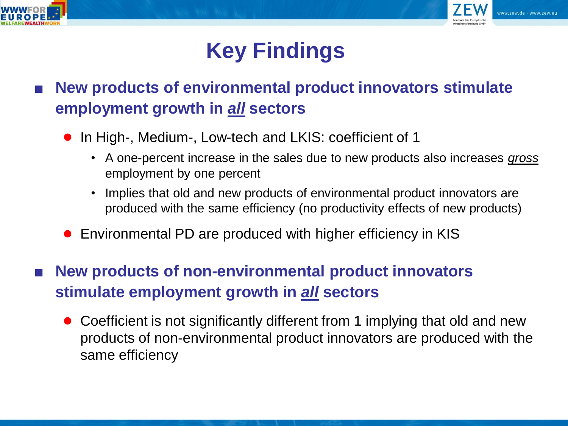



# **Key Findings**

- **New products of environmental product innovators stimulate employment growth in** *all* **sectors**
	- In High-, Medium-, Low-tech and LKIS: coefficient of 1
		- A one-percent increase in the sales due to new products also increases *gross* employment by one percent
		- Implies that old and new products of environmental product innovators are produced with the same efficiency (no productivity effects of new products)
	- Environmental PD are produced with higher efficiency in KIS
- **New products of non-environmental product innovators stimulate employment growth in** *all* **sectors**
	- Coefficient is not significantly different from 1 implying that old and new products of non-environmental product innovators are produced with the same efficiency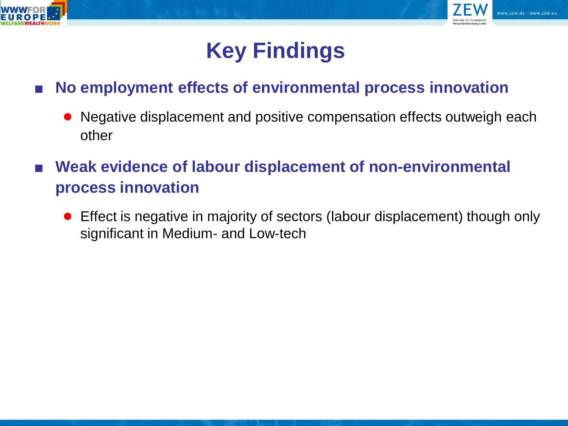



## **Key Findings**

#### ■ **No employment effects of environmental process innovation**

- Negative displacement and positive compensation effects outweigh each other
- **Weak evidence of labour displacement of non-environmental process innovation**
	- Effect is negative in majority of sectors (labour displacement) though only significant in Medium- and Low-tech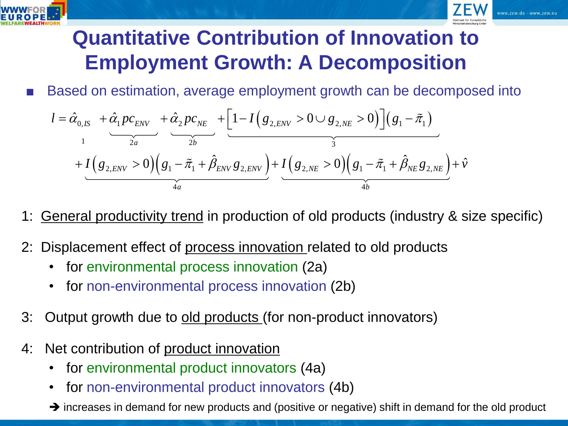



## **Quantitative Contribution of Innovation to Employment Growth: A Decomposition**

■ Based on estimation, average employment growth can be decomposed into

Based on estimation, average employment growth can be decomposed in  
\n
$$
l = \hat{\alpha}_{0,IS} + \hat{\alpha}_{1} p c_{ENV} + \hat{\alpha}_{2} p c_{NE} + \left[1 - I(g_{2,ENV} > 0 \cup g_{2,NE} > 0)\right](g_{1} - \tilde{\pi}_{1}) + I(g_{2,ENV} > 0)(g_{1} - \tilde{\pi}_{1} + \hat{\beta}_{ENV} g_{2,ENV}) + I(g_{2,NE} > 0)(g_{1} - \tilde{\pi}_{1} + \hat{\beta}_{NE} g_{2,NE}) + \hat{v}
$$

**General productivity trend in production of old products (industry & size specific)** 

- 2: Displacement effect of process innovation related to old products
	- for environmental process innovation (2a)
	- for non-environmental process innovation (2b)
- 3: Output growth due to old products (for non-product innovators)
- 4: Net contribution of product innovation
	- for environmental product innovators (4a)
	- for non-environmental product innovators (4b)
	- $\rightarrow$  increases in demand for new products and (positive or negative) shift in demand for the old product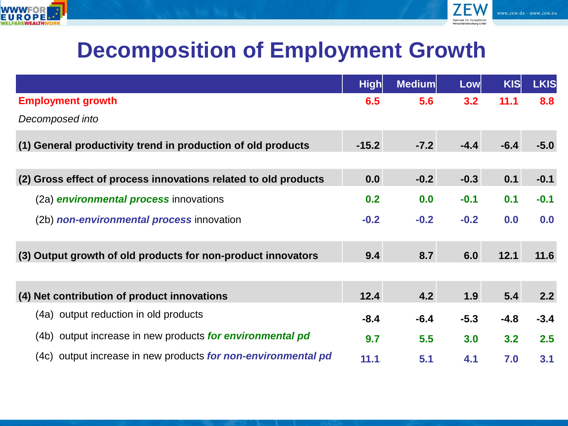



## **Decomposition of Employment Growth**

|                                                                 | <b>High</b> | <b>Medium</b> | <b>Low</b> | <b>KIS</b> | <b>LKIS</b> |
|-----------------------------------------------------------------|-------------|---------------|------------|------------|-------------|
| <b>Employment growth</b>                                        | 6.5         | 5.6           | 3.2        | 11.1       | 8.8         |
| Decomposed into                                                 |             |               |            |            |             |
| General productivity trend in production of old products<br>(1) | $-15.2$     | $-7.2$        | $-4.4$     | $-6.4$     | $-5.0$      |
| (2) Gross effect of process innovations related to old products | 0.0         | $-0.2$        | $-0.3$     | 0.1        | $-0.1$      |
| (2a) <b>environmental process</b> innovations                   | 0.2         | 0.0           | $-0.1$     | 0.1        | $-0.1$      |
| (2b) non-environmental process innovation                       | $-0.2$      | $-0.2$        | $-0.2$     | 0.0        | 0.0         |
| (3) Output growth of old products for non-product innovators    | 9.4         | 8.7           | 6.0        | 12.1       | 11.6        |
| (4) Net contribution of product innovations                     | 12.4        | 4.2           | 1.9        | 5.4        | 2.2         |
| (4a) output reduction in old products                           | $-8.4$      | $-6.4$        | $-5.3$     | $-4.8$     | $-3.4$      |
| (4b) output increase in new products for environmental pd       | 9.7         | 5.5           | 3.0        | 3.2        | 2.5         |
| (4c) output increase in new products for non-environmental pd   | 11.1        | 5.1           | 4.1        | 7.0        | 3.1         |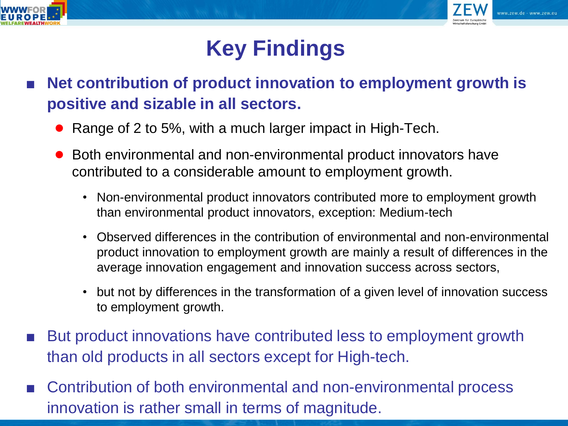



# **Key Findings**

- **Net contribution of product innovation to employment growth is positive and sizable in all sectors.** 
	- Range of 2 to 5%, with a much larger impact in High-Tech.
	- Both environmental and non-environmental product innovators have contributed to a considerable amount to employment growth.
		- Non-environmental product innovators contributed more to employment growth than environmental product innovators, exception: Medium-tech
		- Observed differences in the contribution of environmental and non-environmental product innovation to employment growth are mainly a result of differences in the average innovation engagement and innovation success across sectors,
		- but not by differences in the transformation of a given level of innovation success to employment growth.
- But product innovations have contributed less to employment growth than old products in all sectors except for High-tech.
- Contribution of both environmental and non-environmental process innovation is rather small in terms of magnitude.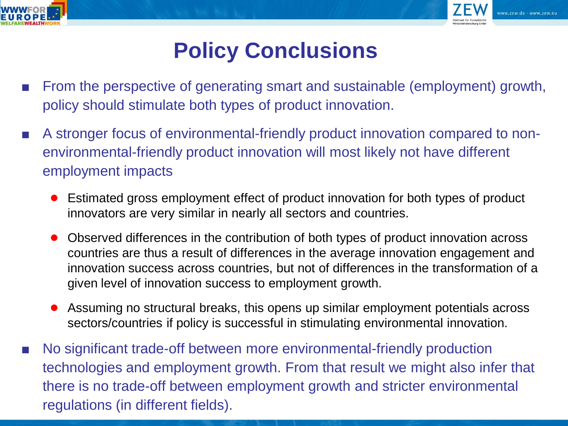



## **Policy Conclusions**

- From the perspective of generating smart and sustainable (employment) growth, policy should stimulate both types of product innovation.
- A stronger focus of environmental-friendly product innovation compared to nonenvironmental-friendly product innovation will most likely not have different employment impacts
	- Estimated gross employment effect of product innovation for both types of product innovators are very similar in nearly all sectors and countries.
	- Observed differences in the contribution of both types of product innovation across countries are thus a result of differences in the average innovation engagement and innovation success across countries, but not of differences in the transformation of a given level of innovation success to employment growth.
	- Assuming no structural breaks, this opens up similar employment potentials across sectors/countries if policy is successful in stimulating environmental innovation.
- No significant trade-off between more environmental-friendly production technologies and employment growth. From that result we might also infer that there is no trade-off between employment growth and stricter environmental regulations (in different fields).